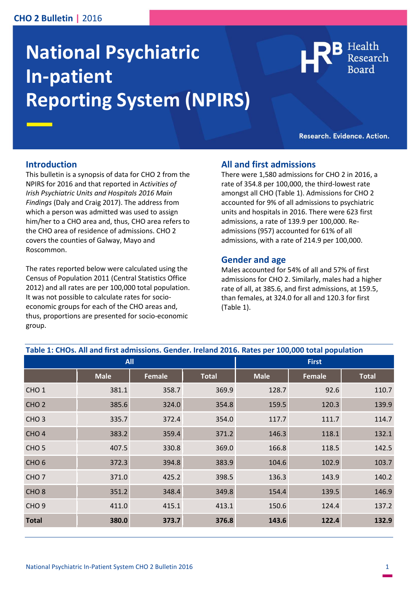# **CHO 2 Bulletin |** 2016

# **National Psychiatric In-patient Reporting System (NPIRS)**

Health

Research. Evidence. Action.

## **Introduction**

This bulletin is a synopsis of data for CHO 2 from the NPIRS for 2016 and that reported in *Activities of Irish Psychiatric Units and Hospitals 2016 Main Findings* (Daly and Craig 2017). The address from which a person was admitted was used to assign him/her to a CHO area and, thus, CHO area refers to the CHO area of residence of admissions. CHO 2 covers the counties of Galway, Mayo and Roscommon.

The rates reported below were calculated using the Census of Population 2011 (Central Statistics Office 2012) and all rates are per 100,000 total population. It was not possible to calculate rates for socioeconomic groups for each of the CHO areas and, thus, proportions are presented for socio-economic group.

# **All and first admissions**

There were 1,580 admissions for CHO 2 in 2016, a rate of 354.8 per 100,000, the third-lowest rate amongst all CHO (Table 1). Admissions for CHO 2 accounted for 9% of all admissions to psychiatric units and hospitals in 2016. There were 623 first admissions, a rate of 139.9 per 100,000. Readmissions (957) accounted for 61% of all admissions, with a rate of 214.9 per 100,000.

## **Gender and age**

Males accounted for 54% of all and 57% of first admissions for CHO 2. Similarly, males had a higher rate of all, at 385.6, and first admissions, at 159.5, than females, at 324.0 for all and 120.3 for first (Table 1).

| Table 1: CHOs. All and first admissions. Gender. Ireland 2016. Rates per 100,000 total population |             |               |              |              |               |              |
|---------------------------------------------------------------------------------------------------|-------------|---------------|--------------|--------------|---------------|--------------|
| <b>All</b>                                                                                        |             |               |              | <b>First</b> |               |              |
|                                                                                                   | <b>Male</b> | <b>Female</b> | <b>Total</b> | <b>Male</b>  | <b>Female</b> | <b>Total</b> |
| CHO <sub>1</sub>                                                                                  | 381.1       | 358.7         | 369.9        | 128.7        | 92.6          | 110.7        |
| CHO <sub>2</sub>                                                                                  | 385.6       | 324.0         | 354.8        | 159.5        | 120.3         | 139.9        |
| CHO <sub>3</sub>                                                                                  | 335.7       | 372.4         | 354.0        | 117.7        | 111.7         | 114.7        |
| CHO <sub>4</sub>                                                                                  | 383.2       | 359.4         | 371.2        | 146.3        | 118.1         | 132.1        |
| CHO <sub>5</sub>                                                                                  | 407.5       | 330.8         | 369.0        | 166.8        | 118.5         | 142.5        |
| CHO <sub>6</sub>                                                                                  | 372.3       | 394.8         | 383.9        | 104.6        | 102.9         | 103.7        |
| CHO <sub>7</sub>                                                                                  | 371.0       | 425.2         | 398.5        | 136.3        | 143.9         | 140.2        |
| CHO <sub>8</sub>                                                                                  | 351.2       | 348.4         | 349.8        | 154.4        | 139.5         | 146.9        |
| CHO <sub>9</sub>                                                                                  | 411.0       | 415.1         | 413.1        | 150.6        | 124.4         | 137.2        |
| <b>Total</b>                                                                                      | 380.0       | 373.7         | 376.8        | 143.6        | 122.4         | 132.9        |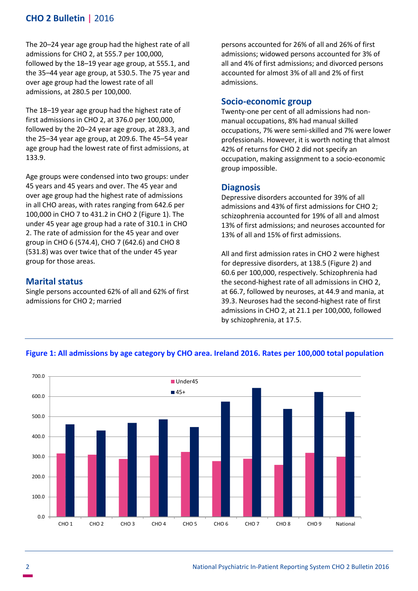# **CHO 2 Bulletin |** 2016

The 20–24 year age group had the highest rate of all admissions for CHO 2, at 555.7 per 100,000, followed by the 18–19 year age group, at 555.1, and the 35–44 year age group, at 530.5. The 75 year and over age group had the lowest rate of all admissions, at 280.5 per 100,000.

The 18–19 year age group had the highest rate of first admissions in CHO 2, at 376.0 per 100,000, followed by the 20–24 year age group, at 283.3, and the 25–34 year age group, at 209.6. The 45–54 year age group had the lowest rate of first admissions, at 133.9.

Age groups were condensed into two groups: under 45 years and 45 years and over. The 45 year and over age group had the highest rate of admissions in all CHO areas, with rates ranging from 642.6 per 100,000 in CHO 7 to 431.2 in CHO 2 (Figure 1). The under 45 year age group had a rate of 310.1 in CHO 2. The rate of admission for the 45 year and over group in CHO 6 (574.4), CHO 7 (642.6) and CHO 8 (531.8) was over twice that of the under 45 year group for those areas.

# **Marital status**

Single persons accounted 62% of all and 62% of first admissions for CHO 2; married

persons accounted for 26% of all and 26% of first admissions; widowed persons accounted for 3% of all and 4% of first admissions; and divorced persons accounted for almost 3% of all and 2% of first admissions.

#### **Socio-economic group**

Twenty-one per cent of all admissions had nonmanual occupations, 8% had manual skilled occupations, 7% were semi-skilled and 7% were lower professionals. However, it is worth noting that almost 42% of returns for CHO 2 did not specify an occupation, making assignment to a socio-economic group impossible.

#### **Diagnosis**

Depressive disorders accounted for 39% of all admissions and 43% of first admissions for CHO 2; schizophrenia accounted for 19% of all and almost 13% of first admissions; and neuroses accounted for 13% of all and 15% of first admissions.

All and first admission rates in CHO 2 were highest for depressive disorders, at 138.5 (Figure 2) and 60.6 per 100,000, respectively. Schizophrenia had the second-highest rate of all admissions in CHO 2, at 66.7, followed by neuroses, at 44.9 and mania, at 39.3. Neuroses had the second-highest rate of first admissions in CHO 2, at 21.1 per 100,000, followed by schizophrenia, at 17.5.



## **Figure 1: All admissions by age category by CHO area. Ireland 2016. Rates per 100,000 total population**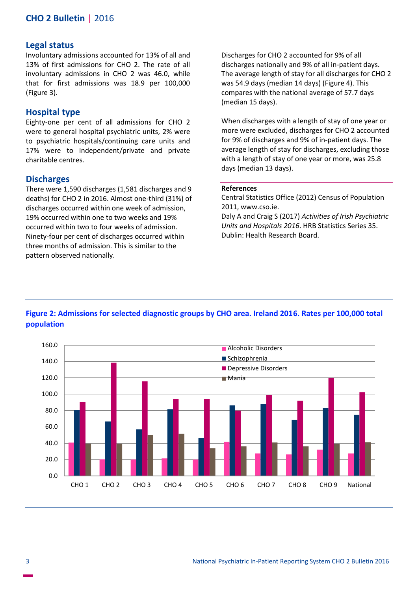# **CHO 2 Bulletin |** 2016

#### **Legal status**

Involuntary admissions accounted for 13% of all and 13% of first admissions for CHO 2. The rate of all involuntary admissions in CHO 2 was 46.0, while that for first admissions was 18.9 per 100,000 (Figure 3).

## **Hospital type**

Eighty-one per cent of all admissions for CHO 2 were to general hospital psychiatric units, 2% were to psychiatric hospitals/continuing care units and 17% were to independent/private and private charitable centres.

#### **Discharges**

There were 1,590 discharges (1,581 discharges and 9 deaths) for CHO 2 in 2016. Almost one-third (31%) of discharges occurred within one week of admission, 19% occurred within one to two weeks and 19% occurred within two to four weeks of admission. Ninety-four per cent of discharges occurred within three months of admission. This is similar to the pattern observed nationally.

Discharges for CHO 2 accounted for 9% of all discharges nationally and 9% of all in-patient days. The average length of stay for all discharges for CHO 2 was 54.9 days (median 14 days) (Figure 4). This compares with the national average of 57.7 days (median 15 days).

When discharges with a length of stay of one year or more were excluded, discharges for CHO 2 accounted for 9% of discharges and 9% of in-patient days. The average length of stay for discharges, excluding those with a length of stay of one year or more, was 25.8 days (median 13 days).

#### **References**

Central Statistics Office (2012) Census of Population 2011, www.cso.ie.

Daly A and Craig S (2017) *Activities of Irish Psychiatric Units and Hospitals 2016*. HRB Statistics Series 35. Dublin: Health Research Board.



# **Figure 2: Admissions for selected diagnostic groups by CHO area. Ireland 2016. Rates per 100,000 total population**